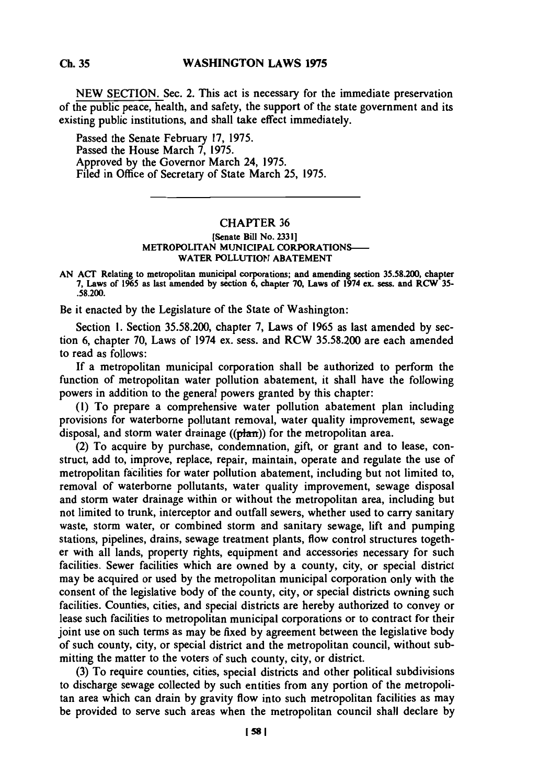**Ch. 35**

**NEW SECTION.** Sec. 2. This act is necessary for the immediate preservation of the public peace, health, and safety, the support of the state government and its existing public institutions, and shall take effect immediately.

Passed the Senate February **17,** *1975.* Passed the House March **7, 1975.** Approved **by** the Governor March 24, **1975.** Filed in Office of Secretary of State March **25, 1975.**

## CHAPTER **36**

## [Senate **Bill No. 23311 METROPOLITAN MUNICIPAL CORPORATIONS-WATER POLLUTION ABATEMENT**

**AN ACT Relating to metropolitan municipal corporations; and amending section 35.58.200, chapter 7, Laws of 1%5 as last amended by section 6, chapter 70, Laws of 1974 ex. sess. and RCW 35- .58.200.**

Be it enacted **by** the Legislature of the State of Washington:

Section **1.** Section **35.58.200,** chapter **7,** Laws of **1965** as last amended **by** section **6,** chapter **70,** Laws of 1974 ex. sess. and RCW **35.58.200** are each amended to read as follows:

**If** a metropolitan municipal corporation shall be authorized to perform the function of metropolitan water pollution abatement, it shall have the following powers in addition to the general powers granted **by** this chapter:

**(1)** To prepare a comprehensive water pollution abatement plan including provisions for waterborne pollutant removal, water quality improvement, sewage disposal, and storm water drainage ((plan)) for the metropolitan area.

(2) To acquire **by** purchase, condemnation, gift, or grant and to lease, construct, add to, improve, replace, repair, maintain, operate and regulate the use of metropolitan facilities for water pollution abatement, including but not limited to, removal of waterborne pollutants, water quality improvement, sewage disposal and storm water drainage within or without the metropolitan area, including but not limited to trunk, interceptor and outfall sewers, whether used to carry sanitary waste, storm water, or combined storm and sanitary sewage, lift and pumping stations, pipelines, drains, sewage treatment plants, flow control structures together with all lands, property rights, equipment and accessories necessary for such facilities. Sewer facilities which are owned **by** a county, city, or special district may be acquired or used **by** the metropolitan municipal corporation only with the consent of the legislative body of the county, city, or special districts owning such facilities. Counties, cities, and special districts are hereby authorized to convey or lease such facilities to metropolitan municipal corporations or to contract for their joint use on such terms as may be fixed **by** agreement between the legislative body of such county, city, or special district and the metropolitan council, without submitting the matter to the voters of such county, city, or district.

**(3)** To require counties, cities, special districts and other political subdivisions to discharge sewage collected **by** such entities from any portion of the metropolitan area which can drain **by** gravity flow into such metropolitan facilities as may be provided to serve such areas when the metropolitan council shall declare **by**